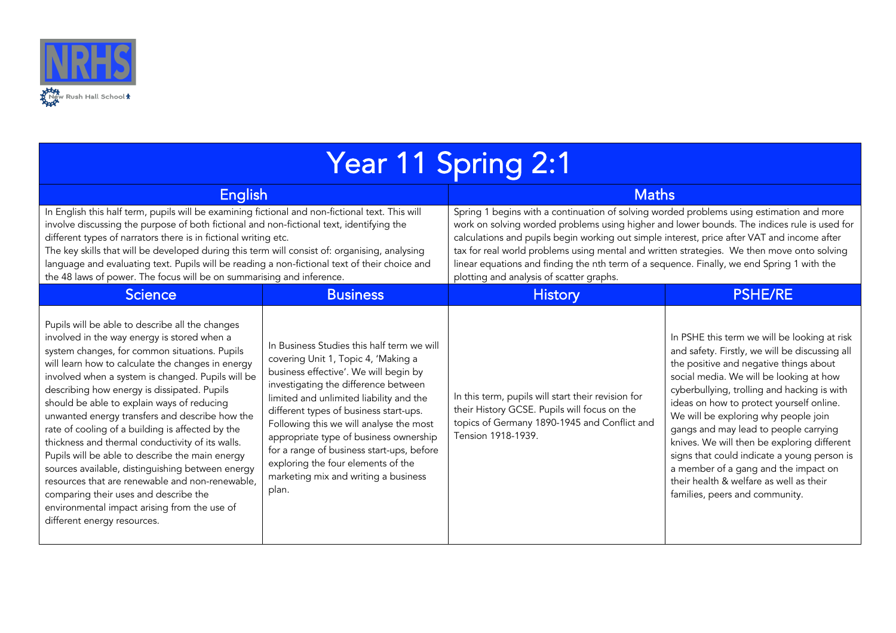

| <b>Year 11 Spring 2:1</b>                                                                                                                                                                                                                                                                                                                                                                                                                                                                                                                                                                                                                                                                                                                                                                          |                                                                                                                                                                                                                                                                                                                                                                                                                                                                                  |                                                                                                                                                                                                                                                                                                                                                                                                                                                                                                                                |                                                                                                                                                                                                                                                                                                                                                                                                                                                                                                                                                                                    |
|----------------------------------------------------------------------------------------------------------------------------------------------------------------------------------------------------------------------------------------------------------------------------------------------------------------------------------------------------------------------------------------------------------------------------------------------------------------------------------------------------------------------------------------------------------------------------------------------------------------------------------------------------------------------------------------------------------------------------------------------------------------------------------------------------|----------------------------------------------------------------------------------------------------------------------------------------------------------------------------------------------------------------------------------------------------------------------------------------------------------------------------------------------------------------------------------------------------------------------------------------------------------------------------------|--------------------------------------------------------------------------------------------------------------------------------------------------------------------------------------------------------------------------------------------------------------------------------------------------------------------------------------------------------------------------------------------------------------------------------------------------------------------------------------------------------------------------------|------------------------------------------------------------------------------------------------------------------------------------------------------------------------------------------------------------------------------------------------------------------------------------------------------------------------------------------------------------------------------------------------------------------------------------------------------------------------------------------------------------------------------------------------------------------------------------|
| <b>English</b>                                                                                                                                                                                                                                                                                                                                                                                                                                                                                                                                                                                                                                                                                                                                                                                     |                                                                                                                                                                                                                                                                                                                                                                                                                                                                                  | <b>Maths</b>                                                                                                                                                                                                                                                                                                                                                                                                                                                                                                                   |                                                                                                                                                                                                                                                                                                                                                                                                                                                                                                                                                                                    |
| In English this half term, pupils will be examining fictional and non-fictional text. This will<br>involve discussing the purpose of both fictional and non-fictional text, identifying the<br>different types of narrators there is in fictional writing etc.<br>The key skills that will be developed during this term will consist of: organising, analysing<br>language and evaluating text. Pupils will be reading a non-fictional text of their choice and<br>the 48 laws of power. The focus will be on summarising and inference.                                                                                                                                                                                                                                                          |                                                                                                                                                                                                                                                                                                                                                                                                                                                                                  | Spring 1 begins with a continuation of solving worded problems using estimation and more<br>work on solving worded problems using higher and lower bounds. The indices rule is used for<br>calculations and pupils begin working out simple interest, price after VAT and income after<br>tax for real world problems using mental and written strategies. We then move onto solving<br>linear equations and finding the nth term of a sequence. Finally, we end Spring 1 with the<br>plotting and analysis of scatter graphs. |                                                                                                                                                                                                                                                                                                                                                                                                                                                                                                                                                                                    |
| <b>Science</b>                                                                                                                                                                                                                                                                                                                                                                                                                                                                                                                                                                                                                                                                                                                                                                                     | <b>Business</b>                                                                                                                                                                                                                                                                                                                                                                                                                                                                  | <b>History</b>                                                                                                                                                                                                                                                                                                                                                                                                                                                                                                                 | <b>PSHE/RE</b>                                                                                                                                                                                                                                                                                                                                                                                                                                                                                                                                                                     |
| Pupils will be able to describe all the changes<br>involved in the way energy is stored when a<br>system changes, for common situations. Pupils<br>will learn how to calculate the changes in energy<br>involved when a system is changed. Pupils will be<br>describing how energy is dissipated. Pupils<br>should be able to explain ways of reducing<br>unwanted energy transfers and describe how the<br>rate of cooling of a building is affected by the<br>thickness and thermal conductivity of its walls.<br>Pupils will be able to describe the main energy<br>sources available, distinguishing between energy<br>resources that are renewable and non-renewable,<br>comparing their uses and describe the<br>environmental impact arising from the use of<br>different energy resources. | In Business Studies this half term we will<br>covering Unit 1, Topic 4, 'Making a<br>business effective'. We will begin by<br>investigating the difference between<br>limited and unlimited liability and the<br>different types of business start-ups.<br>Following this we will analyse the most<br>appropriate type of business ownership<br>for a range of business start-ups, before<br>exploring the four elements of the<br>marketing mix and writing a business<br>plan. | In this term, pupils will start their revision for<br>their History GCSE. Pupils will focus on the<br>topics of Germany 1890-1945 and Conflict and<br>Tension 1918-1939.                                                                                                                                                                                                                                                                                                                                                       | In PSHE this term we will be looking at risk<br>and safety. Firstly, we will be discussing all<br>the positive and negative things about<br>social media. We will be looking at how<br>cyberbullying, trolling and hacking is with<br>ideas on how to protect yourself online.<br>We will be exploring why people join<br>gangs and may lead to people carrying<br>knives. We will then be exploring different<br>signs that could indicate a young person is<br>a member of a gang and the impact on<br>their health & welfare as well as their<br>families, peers and community. |